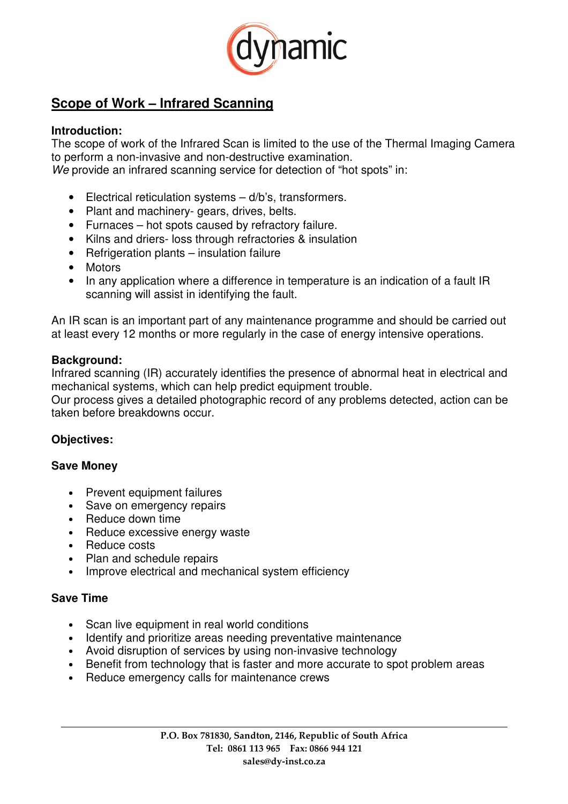

# **Scope of Work – Infrared Scanning**

## **Introduction:**

The scope of work of the Infrared Scan is limited to the use of the Thermal Imaging Camera to perform a non-invasive and non-destructive examination. We provide an infrared scanning service for detection of "hot spots" in:

- Electrical reticulation systems d/b's, transformers.
- Plant and machinery- gears, drives, belts.
- Furnaces hot spots caused by refractory failure.
- Kilns and driers- loss through refractories & insulation
- Refrigeration plants insulation failure
- Motors
- In any application where a difference in temperature is an indication of a fault IR scanning will assist in identifying the fault.

An IR scan is an important part of any maintenance programme and should be carried out at least every 12 months or more regularly in the case of energy intensive operations.

#### **Background:**

Infrared scanning (IR) accurately identifies the presence of abnormal heat in electrical and mechanical systems, which can help predict equipment trouble.

Our process gives a detailed photographic record of any problems detected, action can be taken before breakdowns occur.

## **Objectives:**

#### **Save Money**

- Prevent equipment failures
- Save on emergency repairs
- Reduce down time
- Reduce excessive energy waste
- Reduce costs
- Plan and schedule repairs
- Improve electrical and mechanical system efficiency

#### **Save Time**

- Scan live equipment in real world conditions
- Identify and prioritize areas needing preventative maintenance
- Avoid disruption of services by using non-invasive technology
- Benefit from technology that is faster and more accurate to spot problem areas
- Reduce emergency calls for maintenance crews